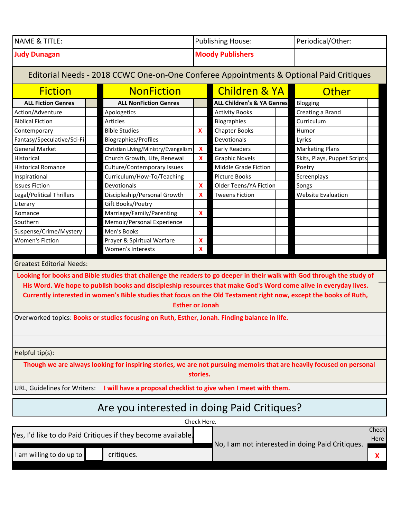| <b>NAME &amp; TITLE:</b> | Publishing House:       | Periodical/Other: |
|--------------------------|-------------------------|-------------------|
| <b>Judy Dunagan</b>      | <b>Moody Publishers</b> |                   |

**ALL Fiction Genres ALL NonFiction Genres ALL Children's & YA Genres** Blogging Action/Adventure Apologetics Activity Books Creating a Brand Biblical Fiction **Articles** Articles **Articles Biographies** Curriculum Contemporary **Bible Studies Area** Humor **X** Chapter Books Humor Fantasy/Speculative/Sci-Fi Biographies/Profiles Devotionals Lyrics General Market **Christian Living/Ministry/Evangelism X** Early Readers Marketing Plans Historical **Church Growth, Life, Renewal X** Graphic Novels Skits, Plays, Puppet Scripts Historical Romance Culture/Contemporary Issues Middle Grade Fiction Poetry Inspirational **Curriculum/How-To/Teaching Picture Books** Screenplays **Issues Fiction Devotionals X** Older Teens/YA Fiction Songs Legal/Political Thrillers **Discipleship/Personal Growth X** Tweens Fiction Website Evaluation Literary **Gift Books/Poetry** Romance **X** Marriage/Family/Parenting **X** Southern **Memoir/Personal Experience** Suspense/Crime/Mystery Men's Books Women's Fiction **Prayer & Spiritual Warfare** | X Women's Interests **X** Fiction **NonFiction** Children & YA Editorial Needs - 2018 CCWC One-on-One Conferee Appointments & Optional Paid Critiques **Other** Greatest Editorial Needs: Overworked topics: **Books or studies focusing on Ruth, Esther, Jonah. Finding balance in life.** Helpful tip(s): Looking for books and Bible studies that challenge the readers to go deeper in their walk with God through the study of His Word. We hope to publish books and discipleship resources that make God's Word come alive in everyday lives. Currently interested in women's Bible studies that focus on the Old Testament right now, except the books of Ruth, **Esther or Jonah** Though we are always looking for inspiring stories, we are not pursuing memoirs that are heavily focused on personal **stories.** 

URL, Guidelines for Writers: **I will have a proposal checklist to give when I meet with them.** 

## Are you interested in doing Paid Critiques?

| No, I am not interested in doing Paid Critiques. | Check Here.                                                  |  |            |  |        |  |  |  |
|--------------------------------------------------|--------------------------------------------------------------|--|------------|--|--------|--|--|--|
|                                                  | Yes, I'd like to do Paid Critiques if they become available. |  |            |  | Checkl |  |  |  |
|                                                  |                                                              |  |            |  | Here I |  |  |  |
|                                                  | I am willing to do up to $\parallel$                         |  | critiques. |  |        |  |  |  |